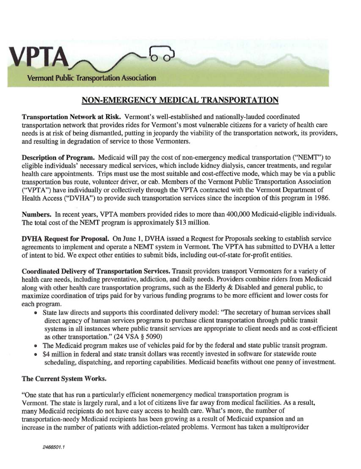

## **NON-EMERGENCY MEDICAL TRANSPORTATION**

**Transportation Network at Risk.** Vermont's well-established and nationally-lauded coordinated transportation network that provides rides for Vermont's most vulnerable citizens for a variety of health care needs is at risk of being dismantled, putting in jeopardy the viability of the transportation network, its providers, and resulting in degradation of service to those Vermonters.

**Description of Program.** Medicaid will pay the cost of non-emergency medical transportation ("NEMT") to eligible individuals' necessary medical services, which include kidney dialysis, cancer treatments, and regular health care appointments. Trips must use the most suitable and cost-effective mode, which may be via a public transportation bus route, volunteer driver, or cab. Members of the Vermont Public Transportation Association ("VPTA") have individually or collectively through the VPTA contracted with the Vermont Department of Health Access ("DVHA") to provide such transportation services since the inception of this program in 1986.

**Numbers.** In recent years, VPTA members provided rides to more than 400,000 Medicaid-eligible individuals. The total cost of the NEMT program is approximately \$13 million.

**DVHA Request for Proposal. On June 1, DVHA** issued a Request for Proposals seeking to establish service agreements to implement and operate a NEMT system in Vermont. The VPTA has submitted to DVHA a letter of intent to bid. We expect other entities to submit bids, including out-of-state for-profit entities.

**Coordinated Delivery of Transportation Services.** Transit providers transport Vermonters for a variety of health care needs, including preventative, addiction, and daily needs. Providers combine riders from Medicaid along with other health care transportation programs, such as the Elderly & Disabled and general public, to maximize coordination of trips paid for by various funding programs to be more efficient and lower costs for each program.

- State law directs and supports this coordinated delivery model: "The secretary of human services shall direct agency of human services programs to purchase client transportation through public transit systems in all instances where public transit services are appropriate to client needs and as cost-efficient as other transportation." (24 VSA § 5090)
- The Medicaid program makes use of vehicles paid for by the federal and state public transit program.
- \$4 million in federal and state transit dollars was recently invested in software for statewide route scheduling, dispatching, and reporting capabilities. Medicaid benefits without one penny of investment.

## **The Current System Works.**

"One state that has run a particularly efficient nonemergency medical transportation program is Vermont. The state is largely rural, and a lot of citizens live far away from medical facilities. As a result, many Medicaid recipients do not have easy access to health care. What's more, the number of transportation-needy Medicaid recipients has been growing as a result of Medicaid expansion and an increase in the number of patients with addiction-related problems. Vermont has taken a multiprovider